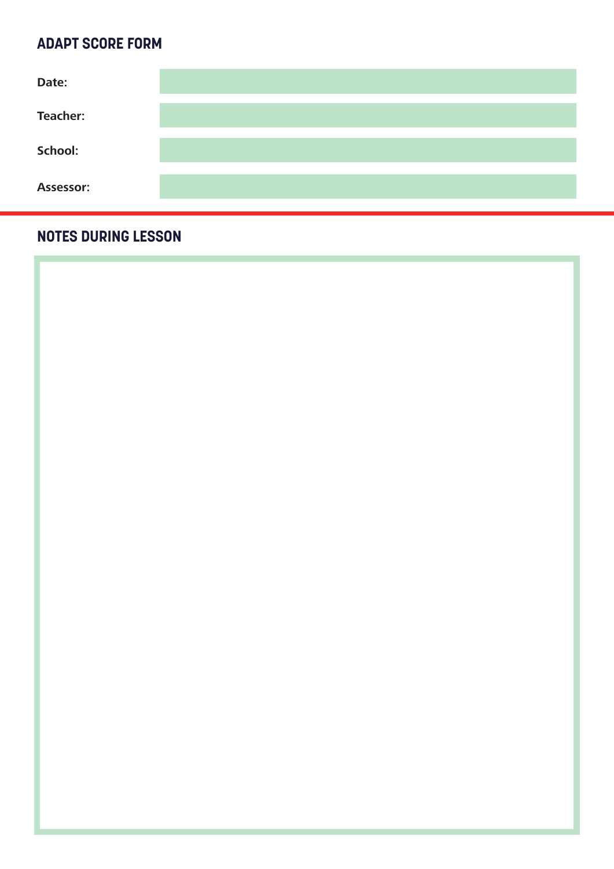#### **ADAPT SCORE FORM**

| Date:           |  |
|-----------------|--|
| <b>Teacher:</b> |  |
| School:         |  |
| Assessor:       |  |

#### **NOTES DURING LESSON**

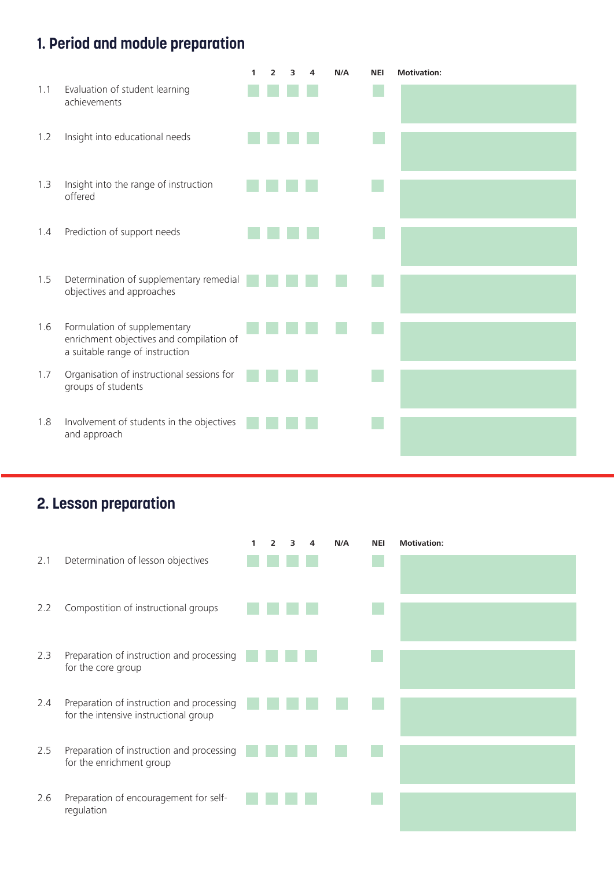## **1. Period and module preparation**

|     |                                                                                                             | 1 | $\overline{2}$ | з | N/A | <b>NEI</b> | <b>Motivation:</b> |
|-----|-------------------------------------------------------------------------------------------------------------|---|----------------|---|-----|------------|--------------------|
| 1.1 | Evaluation of student learning<br>achievements                                                              |   |                |   |     |            |                    |
| 1.2 | Insight into educational needs                                                                              |   |                |   |     |            |                    |
| 1.3 | Insight into the range of instruction<br>offered                                                            |   |                |   |     |            |                    |
| 1.4 | Prediction of support needs                                                                                 |   |                |   |     |            |                    |
| 1.5 | Determination of supplementary remedial<br>objectives and approaches                                        |   |                |   |     |            |                    |
| 1.6 | Formulation of supplementary<br>enrichment objectives and compilation of<br>a suitable range of instruction |   |                |   |     |            |                    |
| 1.7 | Organisation of instructional sessions for<br>groups of students                                            |   |                |   |     |            |                    |
| 1.8 | Involvement of students in the objectives<br>and approach                                                   |   |                |   |     |            |                    |

# **2. Lesson preparation**

|     |                                                                                    | 1 | $\overline{2}$ | 3 | 4 | N/A | <b>NEI</b> | <b>Motivation:</b> |
|-----|------------------------------------------------------------------------------------|---|----------------|---|---|-----|------------|--------------------|
| 2.1 | Determination of lesson objectives                                                 |   |                |   |   |     |            |                    |
| 2.2 | Compostition of instructional groups                                               |   |                |   |   |     |            |                    |
| 2.3 | Preparation of instruction and processing<br>for the core group                    |   |                |   |   |     |            |                    |
| 2.4 | Preparation of instruction and processing<br>for the intensive instructional group |   |                |   |   |     |            |                    |
| 2.5 | Preparation of instruction and processing<br>for the enrichment group              |   |                |   |   |     |            |                    |
| 2.6 | Preparation of encouragement for self-<br>regulation                               |   |                |   |   |     |            |                    |